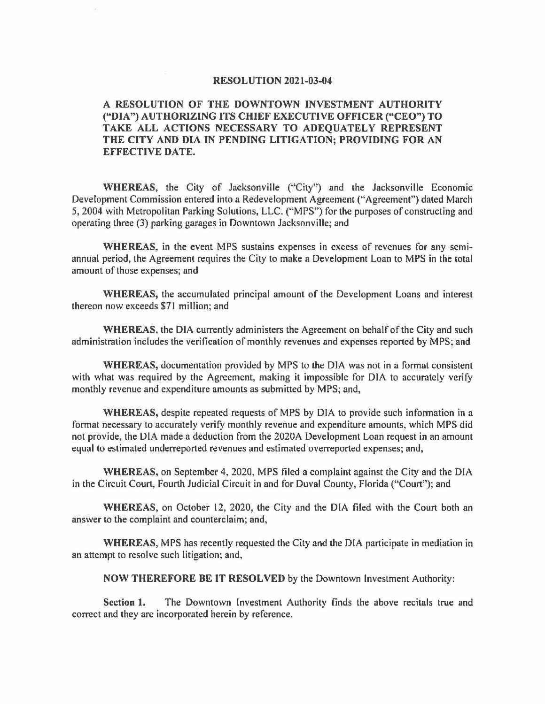## **RESOLUTION 2021-03-04**

## **A RESOLUTION OF THE DOWNTOWN INVESTMENT AUTHORITY ("DIA") AUTHORIZING ITS CHIEF EXECUTIVE OFFICER ("CEO") TO TAKE ALL ACTIONS NECESSARY TO ADEQUATELY REPRESENT THE CITY AND DIA IN PENDING LITIGATION; PROVIDING FOR AN EFFECTIVE DATE.**

**WHEREAS,** the City of Jacksonville ("City") and the Jacksonville Economic Development Commission entered into a Redevelopment Agreement ("Agreement") dated March 5, 2004 with Metropolitan Parking Solutions, LLC. ("MPS") for the purposes of constructing and operating three (3) parking garages in Downtown Jacksonville; and

**WHEREAS,** in the event MPS sustains expenses in excess of revenues for any semiannual period, the Agreement requires the City to make a Development Loan to MPS in the total amount of those expenses; and

**WHEREAS,** the accumulated principal amount of the Development Loans and interest thereon now exceeds \$71 million; and

**WHEREAS,** the DIA currently administers the Agreement on behalf of the City and such administration includes the verification of monthly revenues and expenses reported by MPS; and

**WHEREAS,** documentation provided by MPS to the DIA was not in a format consistent with what was required by the Agreement, making it impossible for DIA to accurately verify monthly revenue and expenditure amounts as submitted by MPS; and,

**WHEREAS,** despite repeated requests of MPS by DIA to provide such information in a format necessary to accurately verify monthly revenue and expenditure amounts, which MPS did not provide, the DIA made a deduction from the 2020A Development Loan request in an amount equal to estimated underreported revenues and estimated overreported expenses; and,

**WHEREAS,** on September 4, 2020, MPS tiled a complaint against the City and the DIA in the Circuit Court, Fourth Judicial Circuit in and for Duval County, Florida ("Court"); and

**WHEREAS,** on October 12, 2020, the City and the DIA filed with the Court both an answer to the complaint and counterclaim; and,

**WHEREAS,** MPS has recently requested the City and the DIA participate in mediation in an attempt to resolve such litigation; and,

**NOW THEREFORE BE IT RESOLVED** by the Downtown Investment Authority:

**Section 1.** The Downtown Investment Authority finds the above recitals true and correct and they are incorporated herein by reference.